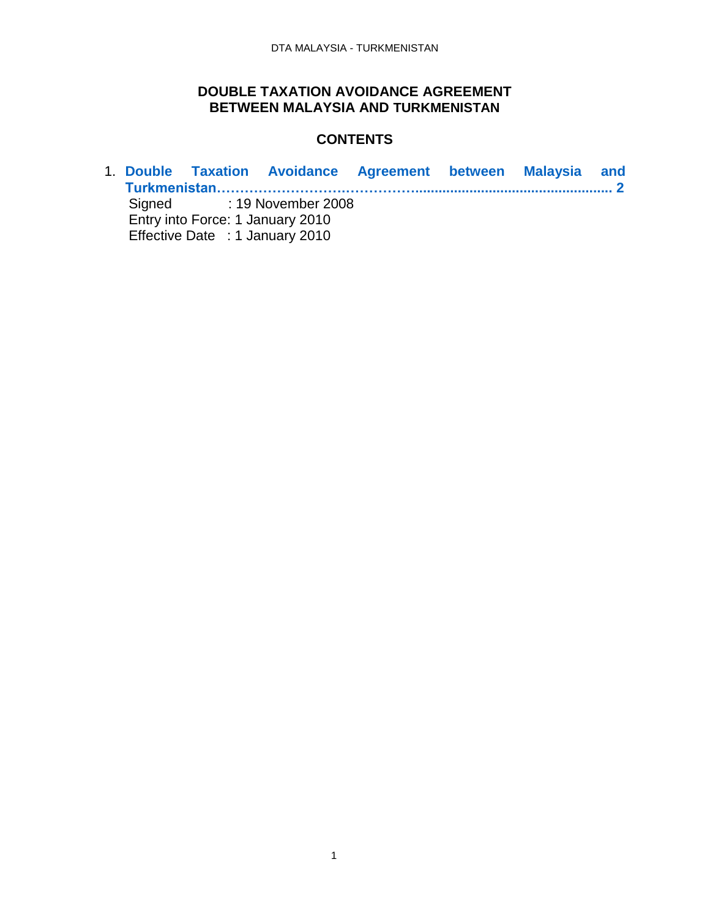## **DOUBLE TAXATION AVOIDANCE AGREEMENT BETWEEN MALAYSIA AND TURKMENISTAN**

## <span id="page-0-0"></span>**CONTENTS**

1. **[Double Taxation Avoidance Agreement between Malaysia and](#page-0-0)  [Turkmenistan……………………….……………...................................................](#page-0-0) 2** Signed : 19 November 2008 Entry into Force: 1 January 2010 Effective Date : 1 January 2010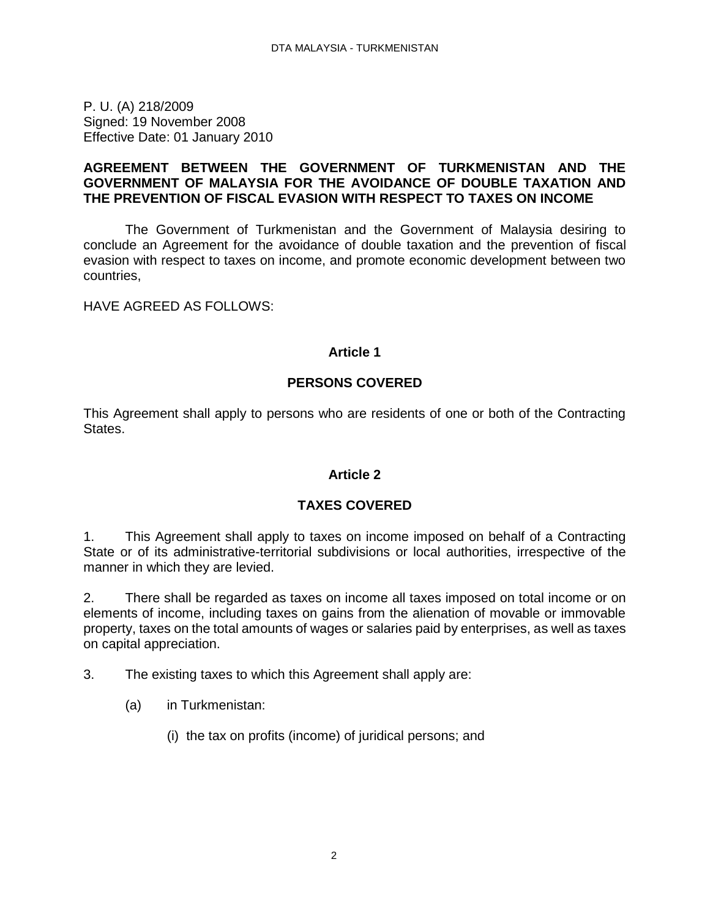P. U. (A) 218/2009 Signed: 19 November 2008 Effective Date: 01 January 2010

#### **AGREEMENT BETWEEN THE GOVERNMENT OF TURKMENISTAN AND THE GOVERNMENT OF MALAYSIA FOR THE AVOIDANCE OF DOUBLE TAXATION AND THE PREVENTION OF FISCAL EVASION WITH RESPECT TO TAXES ON INCOME**

The Government of Turkmenistan and the Government of Malaysia desiring to conclude an Agreement for the avoidance of double taxation and the prevention of fiscal evasion with respect to taxes on income, and promote economic development between two countries,

HAVE AGREED AS FOLLOWS:

#### **Article 1**

#### **PERSONS COVERED**

This Agreement shall apply to persons who are residents of one or both of the Contracting States.

#### **Article 2**

#### **TAXES COVERED**

1. This Agreement shall apply to taxes on income imposed on behalf of a Contracting State or of its administrative-territorial subdivisions or local authorities, irrespective of the manner in which they are levied.

2. There shall be regarded as taxes on income all taxes imposed on total income or on elements of income, including taxes on gains from the alienation of movable or immovable property, taxes on the total amounts of wages or salaries paid by enterprises, as well as taxes on capital appreciation.

3. The existing taxes to which this Agreement shall apply are:

- (a) in Turkmenistan:
	- (i) the tax on profits (income) of juridical persons; and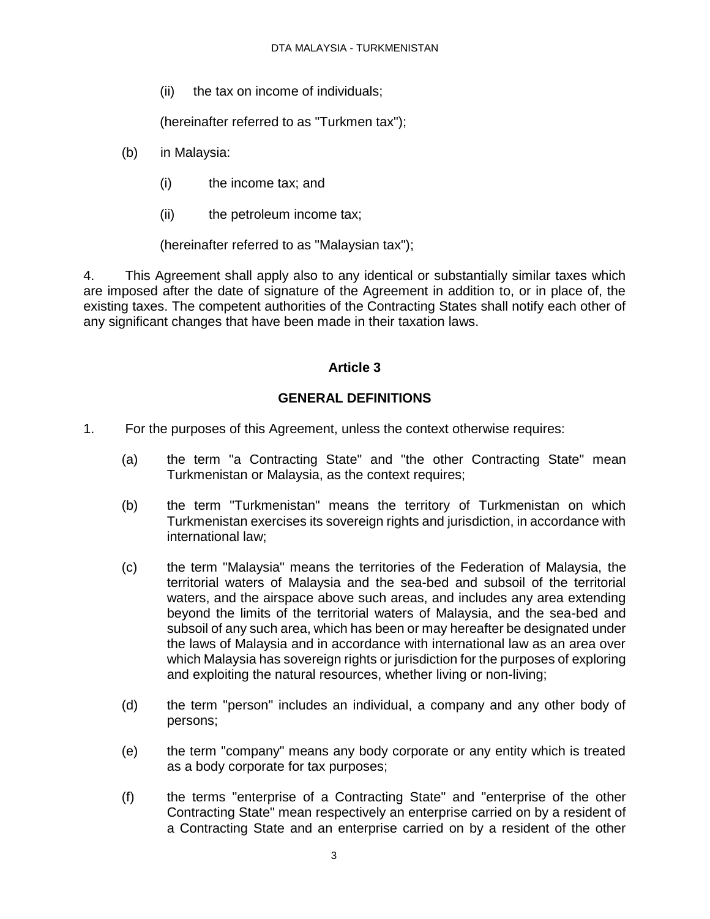(ii) the tax on income of individuals:

(hereinafter referred to as "Turkmen tax");

- (b) in Malaysia:
	- (i) the income tax; and
	- (ii) the petroleum income tax;

(hereinafter referred to as "Malaysian tax");

4. This Agreement shall apply also to any identical or substantially similar taxes which are imposed after the date of signature of the Agreement in addition to, or in place of, the existing taxes. The competent authorities of the Contracting States shall notify each other of any significant changes that have been made in their taxation laws.

#### **Article 3**

#### **GENERAL DEFINITIONS**

- 1. For the purposes of this Agreement, unless the context otherwise requires:
	- (a) the term "a Contracting State" and "the other Contracting State" mean Turkmenistan or Malaysia, as the context requires;
	- (b) the term "Turkmenistan" means the territory of Turkmenistan on which Turkmenistan exercises its sovereign rights and jurisdiction, in accordance with international law;
	- (c) the term "Malaysia" means the territories of the Federation of Malaysia, the territorial waters of Malaysia and the sea-bed and subsoil of the territorial waters, and the airspace above such areas, and includes any area extending beyond the limits of the territorial waters of Malaysia, and the sea-bed and subsoil of any such area, which has been or may hereafter be designated under the laws of Malaysia and in accordance with international law as an area over which Malaysia has sovereign rights or jurisdiction for the purposes of exploring and exploiting the natural resources, whether living or non-living;
	- (d) the term "person" includes an individual, a company and any other body of persons;
	- (e) the term "company" means any body corporate or any entity which is treated as a body corporate for tax purposes;
	- (f) the terms "enterprise of a Contracting State" and "enterprise of the other Contracting State" mean respectively an enterprise carried on by a resident of a Contracting State and an enterprise carried on by a resident of the other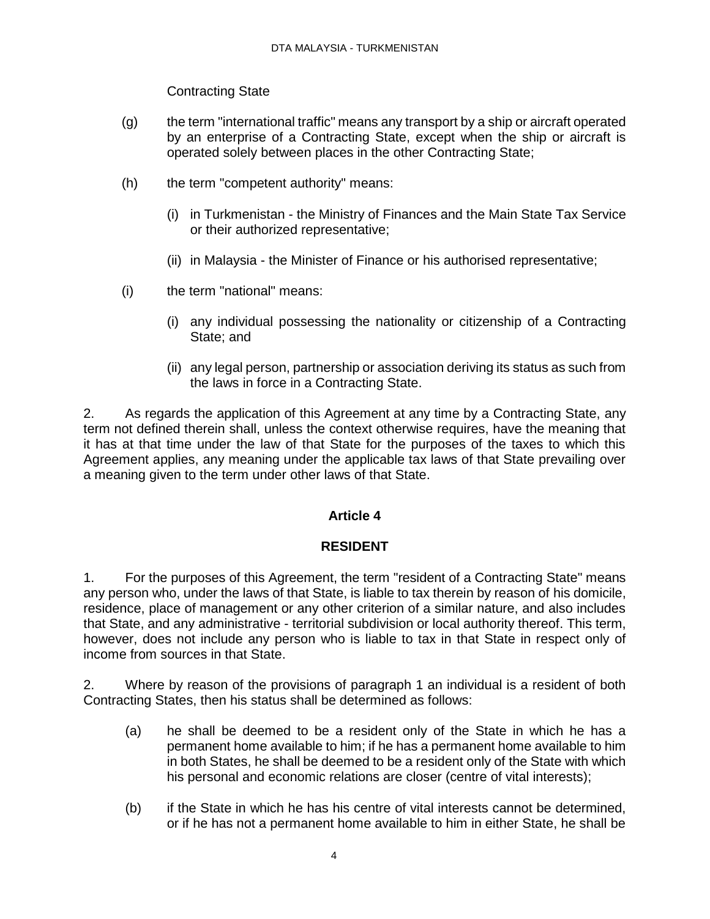## Contracting State

- (g) the term "international traffic" means any transport by a ship or aircraft operated by an enterprise of a Contracting State, except when the ship or aircraft is operated solely between places in the other Contracting State;
- (h) the term "competent authority" means:
	- (i) in Turkmenistan the Ministry of Finances and the Main State Tax Service or their authorized representative;
	- (ii) in Malaysia the Minister of Finance or his authorised representative;
- (i) the term "national" means:
	- (i) any individual possessing the nationality or citizenship of a Contracting State; and
	- (ii) any legal person, partnership or association deriving its status as such from the laws in force in a Contracting State.

2. As regards the application of this Agreement at any time by a Contracting State, any term not defined therein shall, unless the context otherwise requires, have the meaning that it has at that time under the law of that State for the purposes of the taxes to which this Agreement applies, any meaning under the applicable tax laws of that State prevailing over a meaning given to the term under other laws of that State.

# **Article 4**

## **RESIDENT**

1. For the purposes of this Agreement, the term "resident of a Contracting State" means any person who, under the laws of that State, is liable to tax therein by reason of his domicile, residence, place of management or any other criterion of a similar nature, and also includes that State, and any administrative - territorial subdivision or local authority thereof. This term, however, does not include any person who is liable to tax in that State in respect only of income from sources in that State.

2. Where by reason of the provisions of paragraph 1 an individual is a resident of both Contracting States, then his status shall be determined as follows:

- (a) he shall be deemed to be a resident only of the State in which he has a permanent home available to him; if he has a permanent home available to him in both States, he shall be deemed to be a resident only of the State with which his personal and economic relations are closer (centre of vital interests);
- (b) if the State in which he has his centre of vital interests cannot be determined, or if he has not a permanent home available to him in either State, he shall be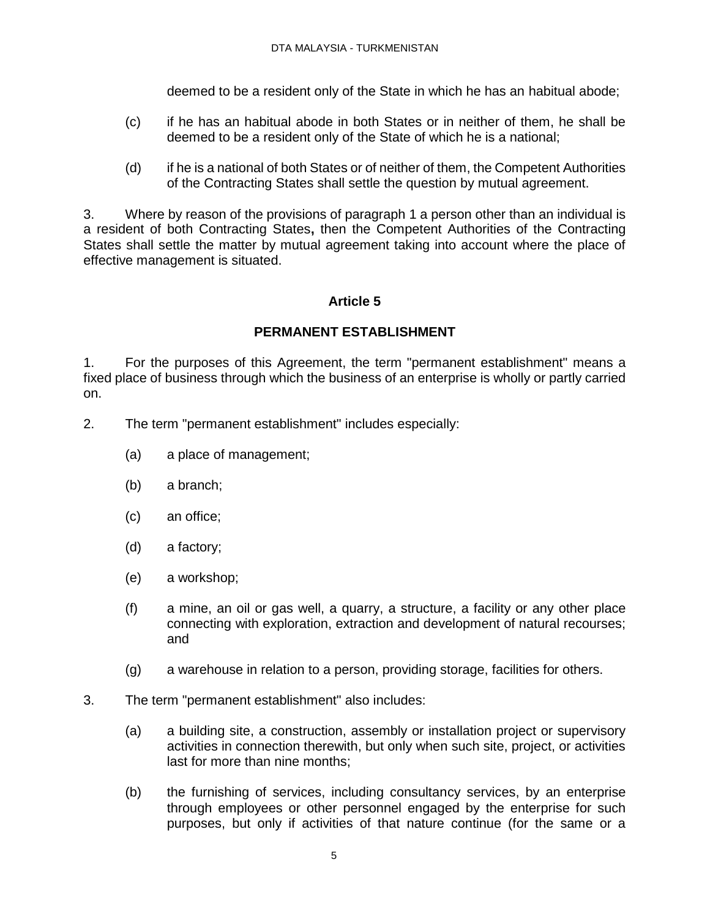deemed to be a resident only of the State in which he has an habitual abode;

- (c) if he has an habitual abode in both States or in neither of them, he shall be deemed to be a resident only of the State of which he is a national;
- (d) if he is a national of both States or of neither of them, the Competent Authorities of the Contracting States shall settle the question by mutual agreement.

3. Where by reason of the provisions of paragraph 1 a person other than an individual is a resident of both Contracting States**,** then the Competent Authorities of the Contracting States shall settle the matter by mutual agreement taking into account where the place of effective management is situated.

## **Article 5**

## **PERMANENT ESTABLISHMENT**

1. For the purposes of this Agreement, the term "permanent establishment" means a fixed place of business through which the business of an enterprise is wholly or partly carried on.

- 2. The term "permanent establishment" includes especially:
	- (a) a place of management;
	- (b) a branch;
	- (c) an office;
	- (d) a factory;
	- (e) a workshop;
	- (f) a mine, an oil or gas well, a quarry, a structure, a facility or any other place connecting with exploration, extraction and development of natural recourses; and
	- (g) a warehouse in relation to a person, providing storage, facilities for others.
- 3. The term "permanent establishment" also includes:
	- (a) a building site, a construction, assembly or installation project or supervisory activities in connection therewith, but only when such site, project, or activities last for more than nine months;
	- (b) the furnishing of services, including consultancy services, by an enterprise through employees or other personnel engaged by the enterprise for such purposes, but only if activities of that nature continue (for the same or a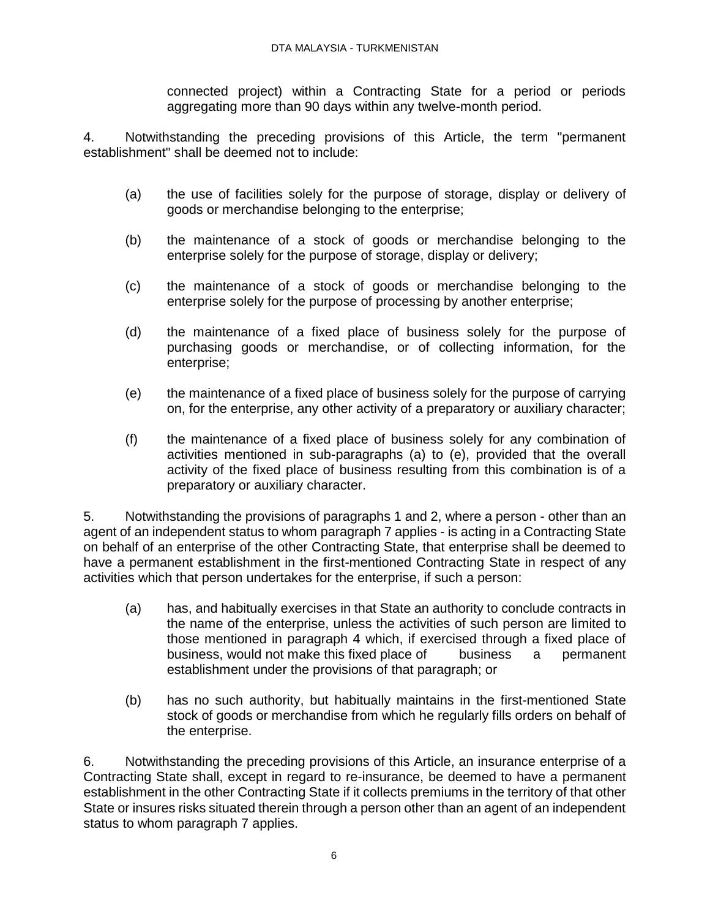connected project) within a Contracting State for a period or periods aggregating more than 90 days within any twelve-month period.

4. Notwithstanding the preceding provisions of this Article, the term "permanent establishment" shall be deemed not to include:

- (a) the use of facilities solely for the purpose of storage, display or delivery of goods or merchandise belonging to the enterprise;
- (b) the maintenance of a stock of goods or merchandise belonging to the enterprise solely for the purpose of storage, display or delivery;
- (c) the maintenance of a stock of goods or merchandise belonging to the enterprise solely for the purpose of processing by another enterprise;
- (d) the maintenance of a fixed place of business solely for the purpose of purchasing goods or merchandise, or of collecting information, for the enterprise;
- (e) the maintenance of a fixed place of business solely for the purpose of carrying on, for the enterprise, any other activity of a preparatory or auxiliary character;
- (f) the maintenance of a fixed place of business solely for any combination of activities mentioned in sub-paragraphs (a) to (e), provided that the overall activity of the fixed place of business resulting from this combination is of a preparatory or auxiliary character.

5. Notwithstanding the provisions of paragraphs 1 and 2, where a person - other than an agent of an independent status to whom paragraph 7 applies - is acting in a Contracting State on behalf of an enterprise of the other Contracting State, that enterprise shall be deemed to have a permanent establishment in the first-mentioned Contracting State in respect of any activities which that person undertakes for the enterprise, if such a person:

- (a) has, and habitually exercises in that State an authority to conclude contracts in the name of the enterprise, unless the activities of such person are limited to those mentioned in paragraph 4 which, if exercised through a fixed place of business, would not make this fixed place of business a permanent establishment under the provisions of that paragraph; or
- (b) has no such authority, but habitually maintains in the first-mentioned State stock of goods or merchandise from which he regularly fills orders on behalf of the enterprise.

6. Notwithstanding the preceding provisions of this Article, an insurance enterprise of a Contracting State shall, except in regard to re-insurance, be deemed to have a permanent establishment in the other Contracting State if it collects premiums in the territory of that other State or insures risks situated therein through a person other than an agent of an independent status to whom paragraph 7 applies.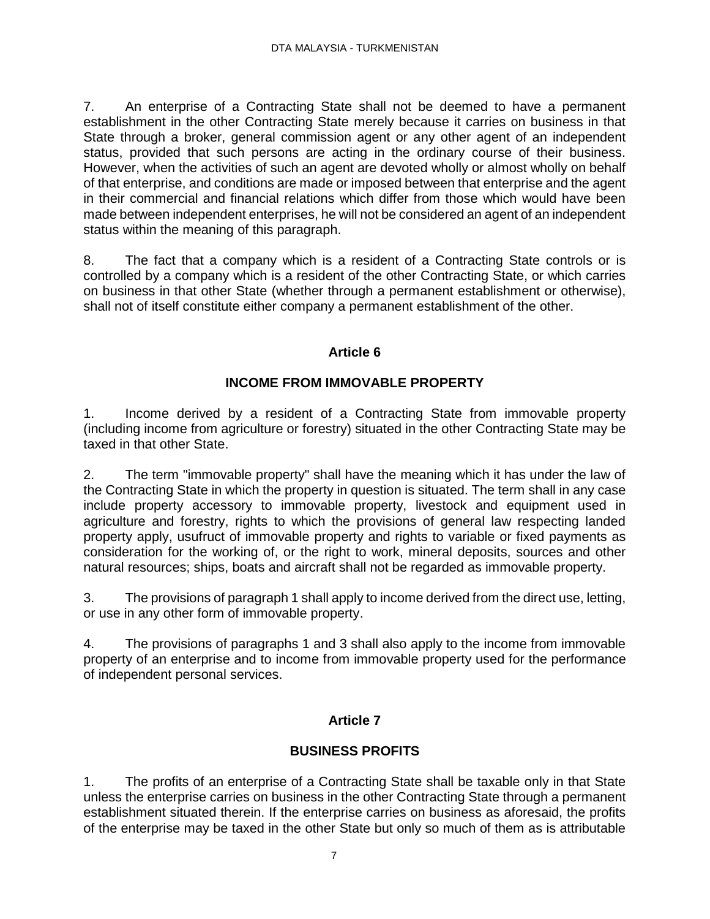7. An enterprise of a Contracting State shall not be deemed to have a permanent establishment in the other Contracting State merely because it carries on business in that State through a broker, general commission agent or any other agent of an independent status, provided that such persons are acting in the ordinary course of their business. However, when the activities of such an agent are devoted wholly or almost wholly on behalf of that enterprise, and conditions are made or imposed between that enterprise and the agent in their commercial and financial relations which differ from those which would have been made between independent enterprises, he will not be considered an agent of an independent status within the meaning of this paragraph.

8. The fact that a company which is a resident of a Contracting State controls or is controlled by a company which is a resident of the other Contracting State, or which carries on business in that other State (whether through a permanent establishment or otherwise), shall not of itself constitute either company a permanent establishment of the other.

## **Article 6**

# **INCOME FROM IMMOVABLE PROPERTY**

1. Income derived by a resident of a Contracting State from immovable property (including income from agriculture or forestry) situated in the other Contracting State may be taxed in that other State.

2. The term "immovable property" shall have the meaning which it has under the law of the Contracting State in which the property in question is situated. The term shall in any case include property accessory to immovable property, livestock and equipment used in agriculture and forestry, rights to which the provisions of general law respecting landed property apply, usufruct of immovable property and rights to variable or fixed payments as consideration for the working of, or the right to work, mineral deposits, sources and other natural resources; ships, boats and aircraft shall not be regarded as immovable property.

3. The provisions of paragraph 1 shall apply to income derived from the direct use, letting, or use in any other form of immovable property.

4. The provisions of paragraphs 1 and 3 shall also apply to the income from immovable property of an enterprise and to income from immovable property used for the performance of independent personal services.

## **Article 7**

## **BUSINESS PROFITS**

1. The profits of an enterprise of a Contracting State shall be taxable only in that State unless the enterprise carries on business in the other Contracting State through a permanent establishment situated therein. If the enterprise carries on business as aforesaid, the profits of the enterprise may be taxed in the other State but only so much of them as is attributable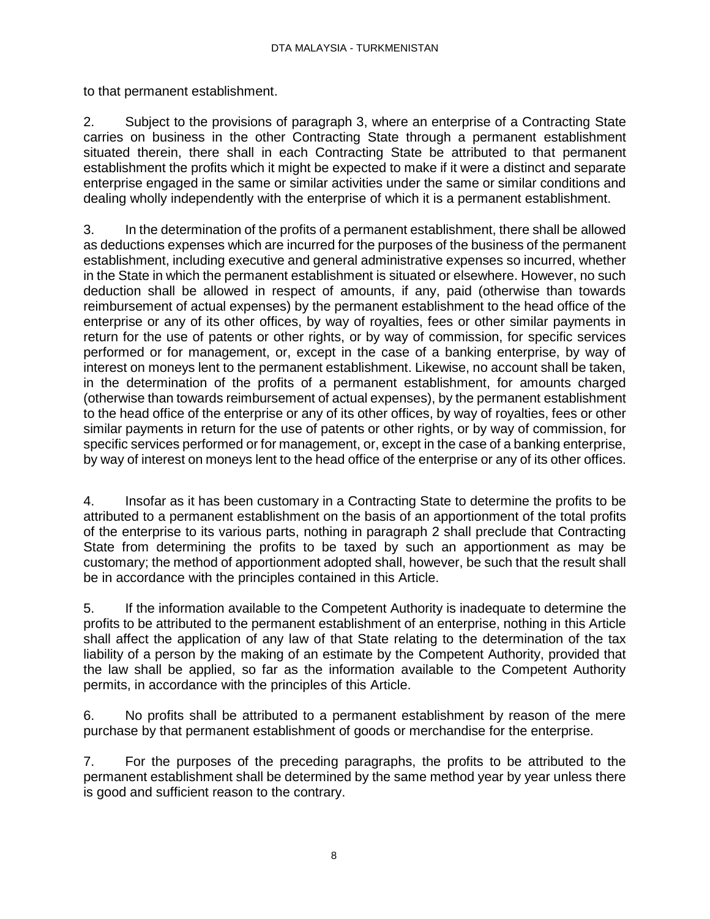to that permanent establishment.

2. Subject to the provisions of paragraph 3, where an enterprise of a Contracting State carries on business in the other Contracting State through a permanent establishment situated therein, there shall in each Contracting State be attributed to that permanent establishment the profits which it might be expected to make if it were a distinct and separate enterprise engaged in the same or similar activities under the same or similar conditions and dealing wholly independently with the enterprise of which it is a permanent establishment.

3. In the determination of the profits of a permanent establishment, there shall be allowed as deductions expenses which are incurred for the purposes of the business of the permanent establishment, including executive and general administrative expenses so incurred, whether in the State in which the permanent establishment is situated or elsewhere. However, no such deduction shall be allowed in respect of amounts, if any, paid (otherwise than towards reimbursement of actual expenses) by the permanent establishment to the head office of the enterprise or any of its other offices, by way of royalties, fees or other similar payments in return for the use of patents or other rights, or by way of commission, for specific services performed or for management, or, except in the case of a banking enterprise, by way of interest on moneys lent to the permanent establishment. Likewise, no account shall be taken, in the determination of the profits of a permanent establishment, for amounts charged (otherwise than towards reimbursement of actual expenses), by the permanent establishment to the head office of the enterprise or any of its other offices, by way of royalties, fees or other similar payments in return for the use of patents or other rights, or by way of commission, for specific services performed or for management, or, except in the case of a banking enterprise, by way of interest on moneys lent to the head office of the enterprise or any of its other offices.

4. Insofar as it has been customary in a Contracting State to determine the profits to be attributed to a permanent establishment on the basis of an apportionment of the total profits of the enterprise to its various parts, nothing in paragraph 2 shall preclude that Contracting State from determining the profits to be taxed by such an apportionment as may be customary; the method of apportionment adopted shall, however, be such that the result shall be in accordance with the principles contained in this Article.

5. If the information available to the Competent Authority is inadequate to determine the profits to be attributed to the permanent establishment of an enterprise, nothing in this Article shall affect the application of any law of that State relating to the determination of the tax liability of a person by the making of an estimate by the Competent Authority, provided that the law shall be applied, so far as the information available to the Competent Authority permits, in accordance with the principles of this Article.

6. No profits shall be attributed to a permanent establishment by reason of the mere purchase by that permanent establishment of goods or merchandise for the enterprise.

7. For the purposes of the preceding paragraphs, the profits to be attributed to the permanent establishment shall be determined by the same method year by year unless there is good and sufficient reason to the contrary.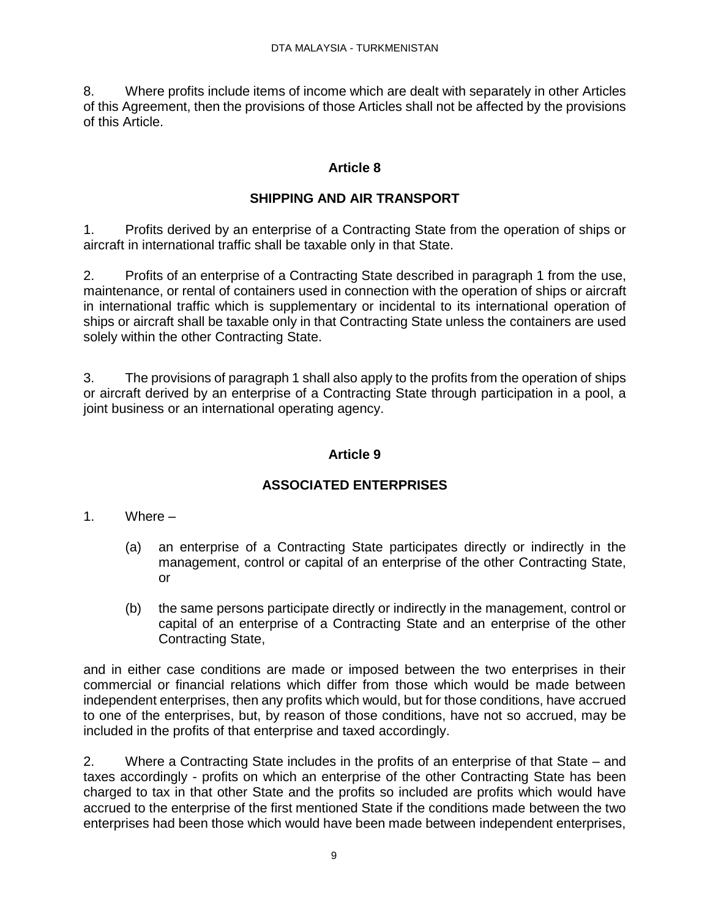8. Where profits include items of income which are dealt with separately in other Articles of this Agreement, then the provisions of those Articles shall not be affected by the provisions of this Article.

## **Article 8**

## **SHIPPING AND AIR TRANSPORT**

1. Profits derived by an enterprise of a Contracting State from the operation of ships or aircraft in international traffic shall be taxable only in that State.

2. Profits of an enterprise of a Contracting State described in paragraph 1 from the use, maintenance, or rental of containers used in connection with the operation of ships or aircraft in international traffic which is supplementary or incidental to its international operation of ships or aircraft shall be taxable only in that Contracting State unless the containers are used solely within the other Contracting State.

3. The provisions of paragraph 1 shall also apply to the profits from the operation of ships or aircraft derived by an enterprise of a Contracting State through participation in a pool, a joint business or an international operating agency.

## **Article 9**

# **ASSOCIATED ENTERPRISES**

- 1. Where
	- (a) an enterprise of a Contracting State participates directly or indirectly in the management, control or capital of an enterprise of the other Contracting State, or
	- (b) the same persons participate directly or indirectly in the management, control or capital of an enterprise of a Contracting State and an enterprise of the other Contracting State,

and in either case conditions are made or imposed between the two enterprises in their commercial or financial relations which differ from those which would be made between independent enterprises, then any profits which would, but for those conditions, have accrued to one of the enterprises, but, by reason of those conditions, have not so accrued, may be included in the profits of that enterprise and taxed accordingly.

2. Where a Contracting State includes in the profits of an enterprise of that State – and taxes accordingly - profits on which an enterprise of the other Contracting State has been charged to tax in that other State and the profits so included are profits which would have accrued to the enterprise of the first mentioned State if the conditions made between the two enterprises had been those which would have been made between independent enterprises,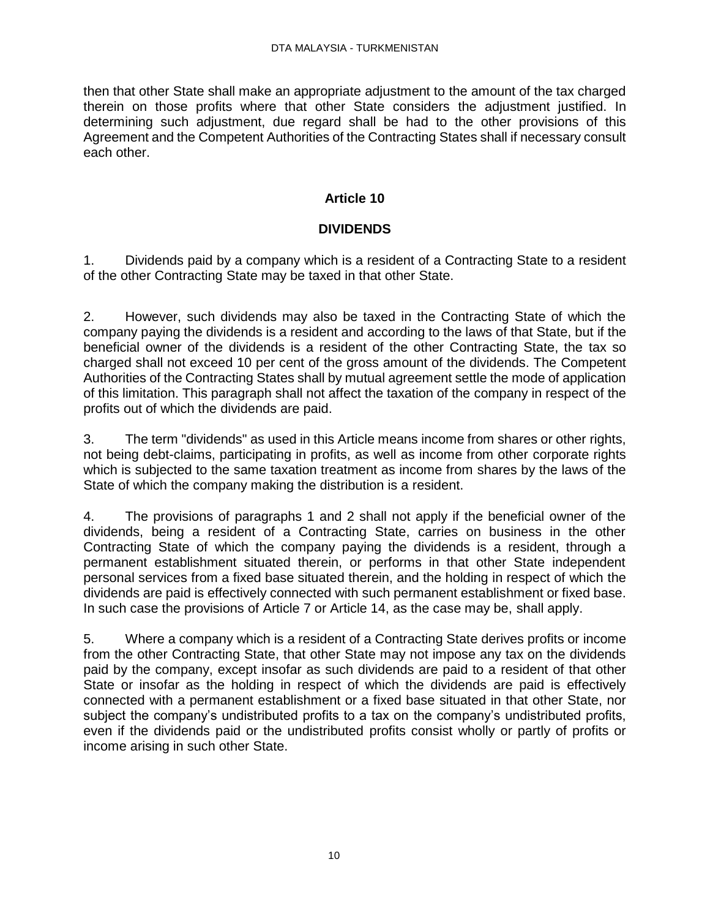then that other State shall make an appropriate adjustment to the amount of the tax charged therein on those profits where that other State considers the adjustment justified. In determining such adjustment, due regard shall be had to the other provisions of this Agreement and the Competent Authorities of the Contracting States shall if necessary consult each other.

## **Article 10**

## **DIVIDENDS**

1. Dividends paid by a company which is a resident of a Contracting State to a resident of the other Contracting State may be taxed in that other State.

2. However, such dividends may also be taxed in the Contracting State of which the company paying the dividends is a resident and according to the laws of that State, but if the beneficial owner of the dividends is a resident of the other Contracting State, the tax so charged shall not exceed 10 per cent of the gross amount of the dividends. The Competent Authorities of the Contracting States shall by mutual agreement settle the mode of application of this limitation. This paragraph shall not affect the taxation of the company in respect of the profits out of which the dividends are paid.

3. The term "dividends" as used in this Article means income from shares or other rights, not being debt-claims, participating in profits, as well as income from other corporate rights which is subjected to the same taxation treatment as income from shares by the laws of the State of which the company making the distribution is a resident.

4. The provisions of paragraphs 1 and 2 shall not apply if the beneficial owner of the dividends, being a resident of a Contracting State, carries on business in the other Contracting State of which the company paying the dividends is a resident, through a permanent establishment situated therein, or performs in that other State independent personal services from a fixed base situated therein, and the holding in respect of which the dividends are paid is effectively connected with such permanent establishment or fixed base. In such case the provisions of Article 7 or Article 14, as the case may be, shall apply.

5. Where a company which is a resident of a Contracting State derives profits or income from the other Contracting State, that other State may not impose any tax on the dividends paid by the company, except insofar as such dividends are paid to a resident of that other State or insofar as the holding in respect of which the dividends are paid is effectively connected with a permanent establishment or a fixed base situated in that other State, nor subject the company's undistributed profits to a tax on the company's undistributed profits, even if the dividends paid or the undistributed profits consist wholly or partly of profits or income arising in such other State.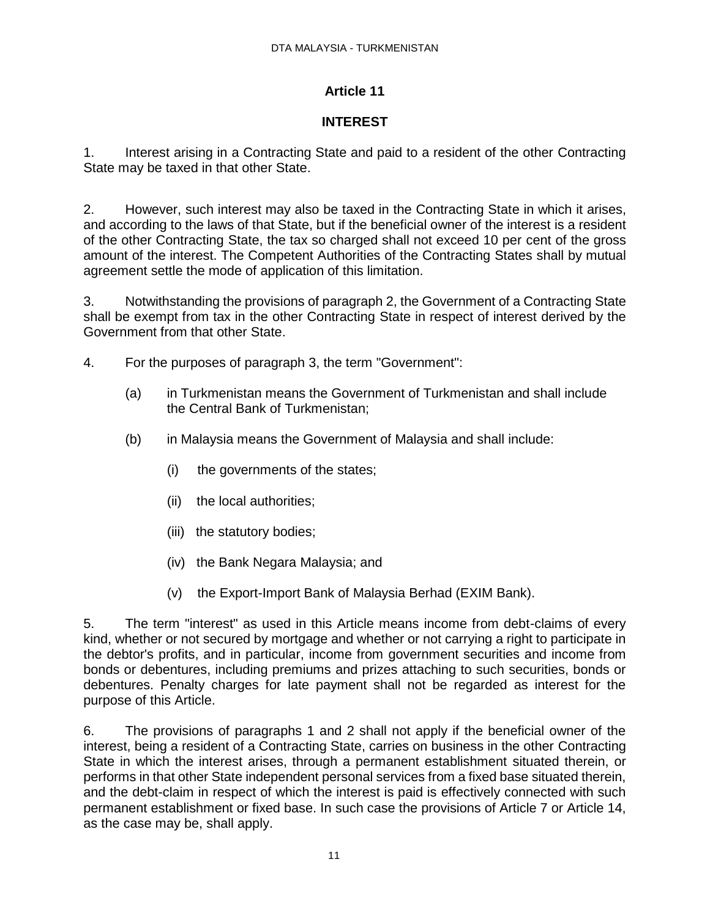# **INTEREST**

1. Interest arising in a Contracting State and paid to a resident of the other Contracting State may be taxed in that other State.

2. However, such interest may also be taxed in the Contracting State in which it arises, and according to the laws of that State, but if the beneficial owner of the interest is a resident of the other Contracting State, the tax so charged shall not exceed 10 per cent of the gross amount of the interest. The Competent Authorities of the Contracting States shall by mutual agreement settle the mode of application of this limitation.

3. Notwithstanding the provisions of paragraph 2, the Government of a Contracting State shall be exempt from tax in the other Contracting State in respect of interest derived by the Government from that other State.

- 4. For the purposes of paragraph 3, the term "Government":
	- (a) in Turkmenistan means the Government of Turkmenistan and shall include the Central Bank of Turkmenistan;
	- (b) in Malaysia means the Government of Malaysia and shall include:
		- (i) the governments of the states;
		- (ii) the local authorities;
		- (iii) the statutory bodies;
		- (iv) the Bank Negara Malaysia; and
		- (v) the Export-Import Bank of Malaysia Berhad (EXIM Bank).

5. The term "interest" as used in this Article means income from debt-claims of every kind, whether or not secured by mortgage and whether or not carrying a right to participate in the debtor's profits, and in particular, income from government securities and income from bonds or debentures, including premiums and prizes attaching to such securities, bonds or debentures. Penalty charges for late payment shall not be regarded as interest for the purpose of this Article.

6. The provisions of paragraphs 1 and 2 shall not apply if the beneficial owner of the interest, being a resident of a Contracting State, carries on business in the other Contracting State in which the interest arises, through a permanent establishment situated therein, or performs in that other State independent personal services from a fixed base situated therein, and the debt-claim in respect of which the interest is paid is effectively connected with such permanent establishment or fixed base. In such case the provisions of Article 7 or Article 14, as the case may be, shall apply.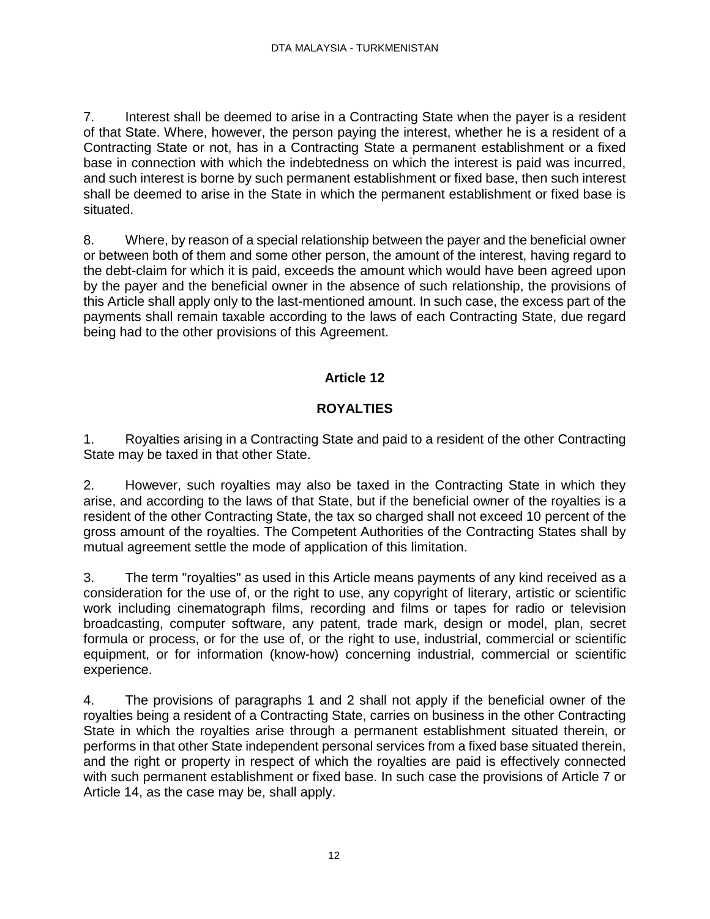7. Interest shall be deemed to arise in a Contracting State when the payer is a resident of that State. Where, however, the person paying the interest, whether he is a resident of a Contracting State or not, has in a Contracting State a permanent establishment or a fixed base in connection with which the indebtedness on which the interest is paid was incurred, and such interest is borne by such permanent establishment or fixed base, then such interest shall be deemed to arise in the State in which the permanent establishment or fixed base is situated.

8. Where, by reason of a special relationship between the payer and the beneficial owner or between both of them and some other person, the amount of the interest, having regard to the debt-claim for which it is paid, exceeds the amount which would have been agreed upon by the payer and the beneficial owner in the absence of such relationship, the provisions of this Article shall apply only to the last-mentioned amount. In such case, the excess part of the payments shall remain taxable according to the laws of each Contracting State, due regard being had to the other provisions of this Agreement.

# **Article 12**

# **ROYALTIES**

1. Royalties arising in a Contracting State and paid to a resident of the other Contracting State may be taxed in that other State.

2. However, such royalties may also be taxed in the Contracting State in which they arise, and according to the laws of that State, but if the beneficial owner of the royalties is a resident of the other Contracting State, the tax so charged shall not exceed 10 percent of the gross amount of the royalties. The Competent Authorities of the Contracting States shall by mutual agreement settle the mode of application of this limitation.

3. The term "royalties" as used in this Article means payments of any kind received as a consideration for the use of, or the right to use, any copyright of literary, artistic or scientific work including cinematograph films, recording and films or tapes for radio or television broadcasting, computer software, any patent, trade mark, design or model, plan, secret formula or process, or for the use of, or the right to use, industrial, commercial or scientific equipment, or for information (know-how) concerning industrial, commercial or scientific experience.

4. The provisions of paragraphs 1 and 2 shall not apply if the beneficial owner of the royalties being a resident of a Contracting State, carries on business in the other Contracting State in which the royalties arise through a permanent establishment situated therein, or performs in that other State independent personal services from a fixed base situated therein, and the right or property in respect of which the royalties are paid is effectively connected with such permanent establishment or fixed base. In such case the provisions of Article 7 or Article 14, as the case may be, shall apply.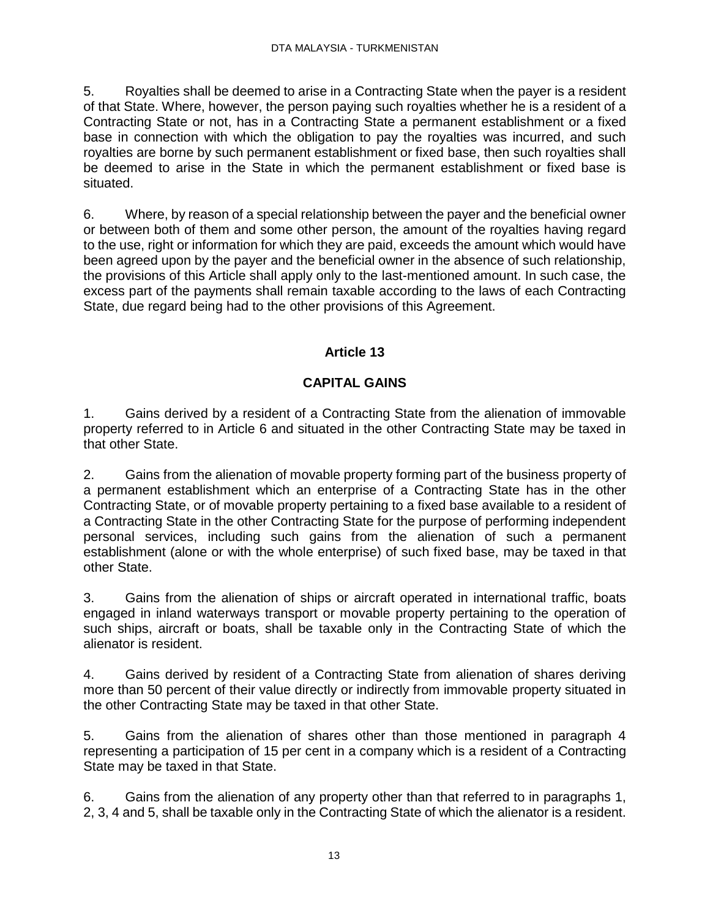5. Royalties shall be deemed to arise in a Contracting State when the payer is a resident of that State. Where, however, the person paying such royalties whether he is a resident of a Contracting State or not, has in a Contracting State a permanent establishment or a fixed base in connection with which the obligation to pay the royalties was incurred, and such royalties are borne by such permanent establishment or fixed base, then such royalties shall be deemed to arise in the State in which the permanent establishment or fixed base is situated.

6. Where, by reason of a special relationship between the payer and the beneficial owner or between both of them and some other person, the amount of the royalties having regard to the use, right or information for which they are paid, exceeds the amount which would have been agreed upon by the payer and the beneficial owner in the absence of such relationship, the provisions of this Article shall apply only to the last-mentioned amount. In such case, the excess part of the payments shall remain taxable according to the laws of each Contracting State, due regard being had to the other provisions of this Agreement.

# **Article 13**

# **CAPITAL GAINS**

1. Gains derived by a resident of a Contracting State from the alienation of immovable property referred to in Article 6 and situated in the other Contracting State may be taxed in that other State.

2. Gains from the alienation of movable property forming part of the business property of a permanent establishment which an enterprise of a Contracting State has in the other Contracting State, or of movable property pertaining to a fixed base available to a resident of a Contracting State in the other Contracting State for the purpose of performing independent personal services, including such gains from the alienation of such a permanent establishment (alone or with the whole enterprise) of such fixed base, may be taxed in that other State.

3. Gains from the alienation of ships or aircraft operated in international traffic, boats engaged in inland waterways transport or movable property pertaining to the operation of such ships, aircraft or boats, shall be taxable only in the Contracting State of which the alienator is resident.

4. Gains derived by resident of a Contracting State from alienation of shares deriving more than 50 percent of their value directly or indirectly from immovable property situated in the other Contracting State may be taxed in that other State.

5. Gains from the alienation of shares other than those mentioned in paragraph 4 representing a participation of 15 per cent in a company which is a resident of a Contracting State may be taxed in that State.

6. Gains from the alienation of any property other than that referred to in paragraphs 1, 2, 3, 4 and 5, shall be taxable only in the Contracting State of which the alienator is a resident.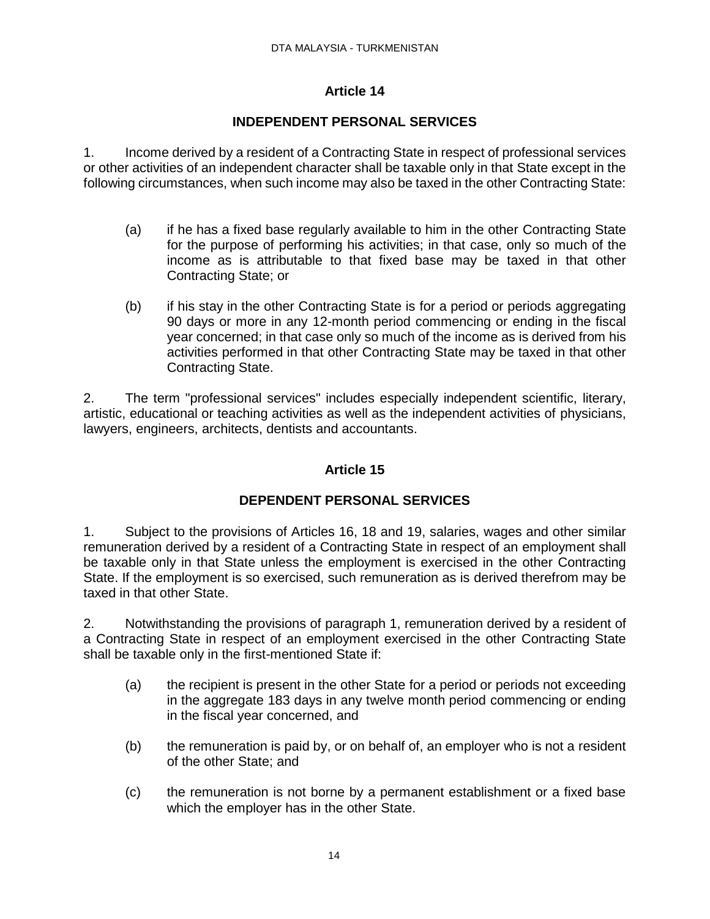## **INDEPENDENT PERSONAL SERVICES**

1. Income derived by a resident of a Contracting State in respect of professional services or other activities of an independent character shall be taxable only in that State except in the following circumstances, when such income may also be taxed in the other Contracting State:

- (a) if he has a fixed base regularly available to him in the other Contracting State for the purpose of performing his activities; in that case, only so much of the income as is attributable to that fixed base may be taxed in that other Contracting State; or
- (b) if his stay in the other Contracting State is for a period or periods aggregating 90 days or more in any 12-month period commencing or ending in the fiscal year concerned; in that case only so much of the income as is derived from his activities performed in that other Contracting State may be taxed in that other Contracting State.

2. The term "professional services" includes especially independent scientific, literary, artistic, educational or teaching activities as well as the independent activities of physicians, lawyers, engineers, architects, dentists and accountants.

# **Article 15**

## **DEPENDENT PERSONAL SERVICES**

1. Subject to the provisions of Articles 16, 18 and 19, salaries, wages and other similar remuneration derived by a resident of a Contracting State in respect of an employment shall be taxable only in that State unless the employment is exercised in the other Contracting State. If the employment is so exercised, such remuneration as is derived therefrom may be taxed in that other State.

2. Notwithstanding the provisions of paragraph 1, remuneration derived by a resident of a Contracting State in respect of an employment exercised in the other Contracting State shall be taxable only in the first-mentioned State if:

- (a) the recipient is present in the other State for a period or periods not exceeding in the aggregate 183 days in any twelve month period commencing or ending in the fiscal year concerned, and
- (b) the remuneration is paid by, or on behalf of, an employer who is not a resident of the other State; and
- (c) the remuneration is not borne by a permanent establishment or a fixed base which the employer has in the other State.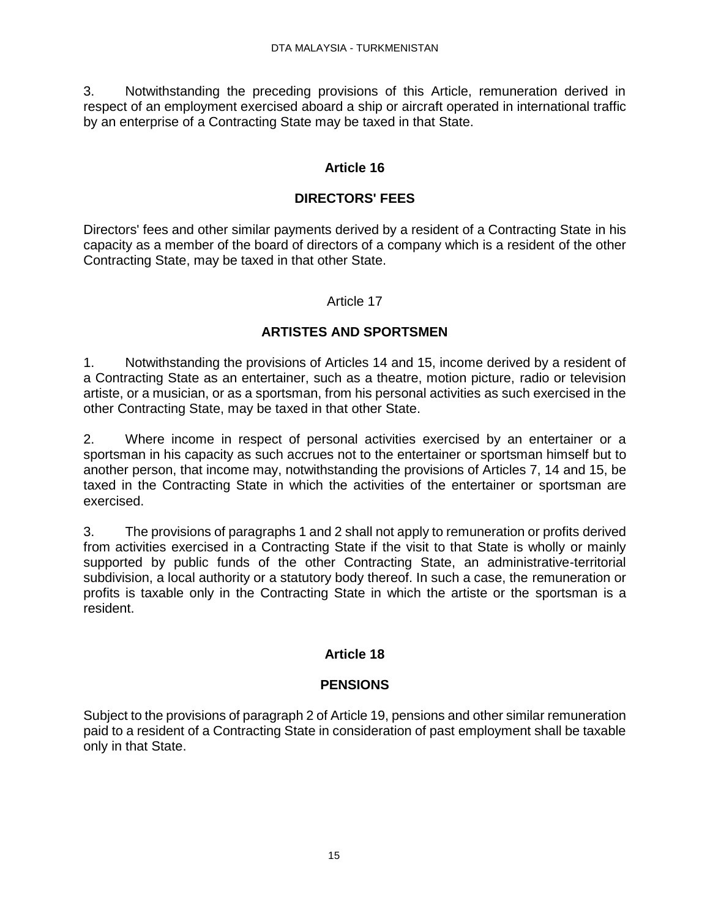3. Notwithstanding the preceding provisions of this Article, remuneration derived in respect of an employment exercised aboard a ship or aircraft operated in international traffic by an enterprise of a Contracting State may be taxed in that State.

## **Article 16**

## **DIRECTORS' FEES**

Directors' fees and other similar payments derived by a resident of a Contracting State in his capacity as a member of the board of directors of a company which is a resident of the other Contracting State, may be taxed in that other State.

#### Article 17

## **ARTISTES AND SPORTSMEN**

1. Notwithstanding the provisions of Articles 14 and 15, income derived by a resident of a Contracting State as an entertainer, such as a theatre, motion picture, radio or television artiste, or a musician, or as a sportsman, from his personal activities as such exercised in the other Contracting State, may be taxed in that other State.

2. Where income in respect of personal activities exercised by an entertainer or a sportsman in his capacity as such accrues not to the entertainer or sportsman himself but to another person, that income may, notwithstanding the provisions of Articles 7, 14 and 15, be taxed in the Contracting State in which the activities of the entertainer or sportsman are exercised.

3. The provisions of paragraphs 1 and 2 shall not apply to remuneration or profits derived from activities exercised in a Contracting State if the visit to that State is wholly or mainly supported by public funds of the other Contracting State, an administrative-territorial subdivision, a local authority or a statutory body thereof. In such a case, the remuneration or profits is taxable only in the Contracting State in which the artiste or the sportsman is a resident.

## **Article 18**

## **PENSIONS**

Subject to the provisions of paragraph 2 of Article 19, pensions and other similar remuneration paid to a resident of a Contracting State in consideration of past employment shall be taxable only in that State.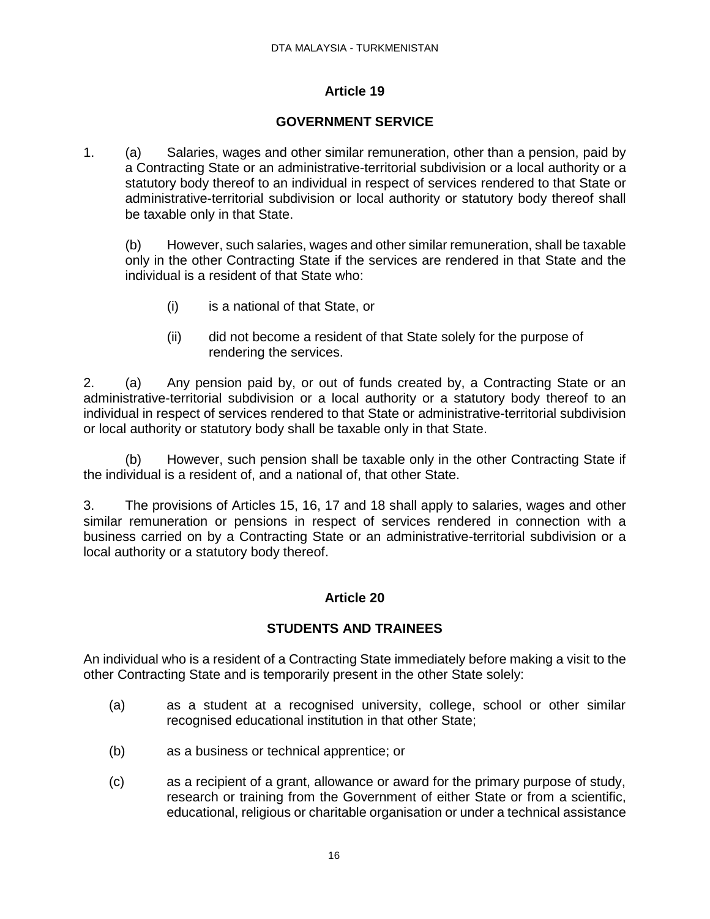## **GOVERNMENT SERVICE**

1. (a) Salaries, wages and other similar remuneration, other than a pension, paid by a Contracting State or an administrative-territorial subdivision or a local authority or a statutory body thereof to an individual in respect of services rendered to that State or administrative-territorial subdivision or local authority or statutory body thereof shall be taxable only in that State.

(b) However, such salaries, wages and other similar remuneration, shall be taxable only in the other Contracting State if the services are rendered in that State and the individual is a resident of that State who:

- (i) is a national of that State, or
- (ii) did not become a resident of that State solely for the purpose of rendering the services.

2. (a) Any pension paid by, or out of funds created by, a Contracting State or an administrative-territorial subdivision or a local authority or a statutory body thereof to an individual in respect of services rendered to that State or administrative-territorial subdivision or local authority or statutory body shall be taxable only in that State.

(b) However, such pension shall be taxable only in the other Contracting State if the individual is a resident of, and a national of, that other State.

3. The provisions of Articles 15, 16, 17 and 18 shall apply to salaries, wages and other similar remuneration or pensions in respect of services rendered in connection with a business carried on by a Contracting State or an administrative-territorial subdivision or a local authority or a statutory body thereof.

## **Article 20**

## **STUDENTS AND TRAINEES**

An individual who is a resident of a Contracting State immediately before making a visit to the other Contracting State and is temporarily present in the other State solely:

- (a) as a student at a recognised university, college, school or other similar recognised educational institution in that other State;
- (b) as a business or technical apprentice; or
- (c) as a recipient of a grant, allowance or award for the primary purpose of study, research or training from the Government of either State or from a scientific, educational, religious or charitable organisation or under a technical assistance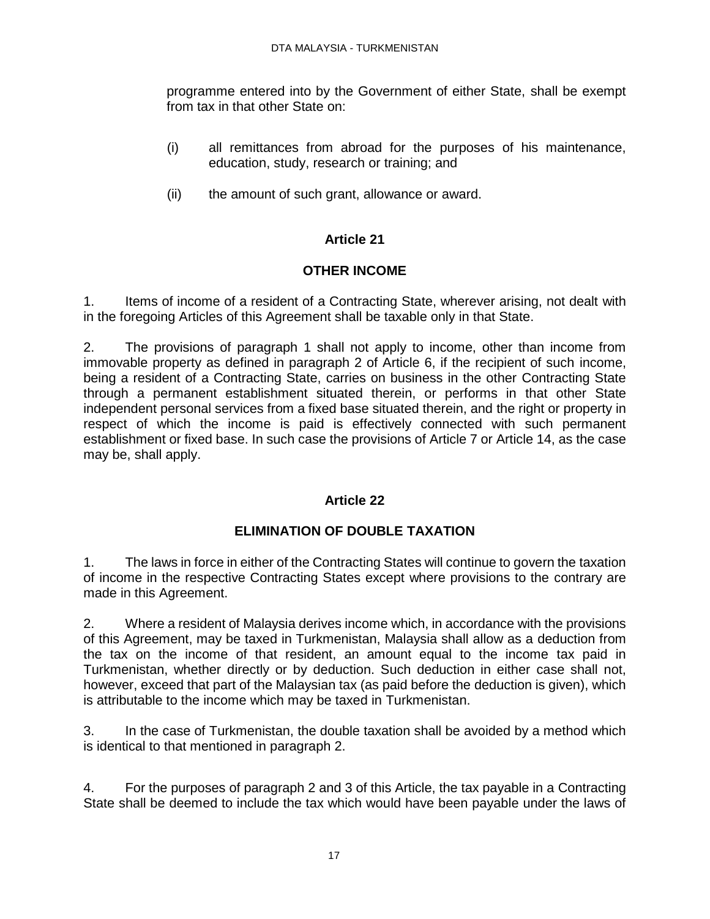programme entered into by the Government of either State, shall be exempt from tax in that other State on:

- (i) all remittances from abroad for the purposes of his maintenance, education, study, research or training; and
- (ii) the amount of such grant, allowance or award.

# **Article 21**

## **OTHER INCOME**

1. Items of income of a resident of a Contracting State, wherever arising, not dealt with in the foregoing Articles of this Agreement shall be taxable only in that State.

2. The provisions of paragraph 1 shall not apply to income, other than income from immovable property as defined in paragraph 2 of Article 6, if the recipient of such income, being a resident of a Contracting State, carries on business in the other Contracting State through a permanent establishment situated therein, or performs in that other State independent personal services from a fixed base situated therein, and the right or property in respect of which the income is paid is effectively connected with such permanent establishment or fixed base. In such case the provisions of Article 7 or Article 14, as the case may be, shall apply.

# **Article 22**

# **ELIMINATION OF DOUBLE TAXATION**

1. The laws in force in either of the Contracting States will continue to govern the taxation of income in the respective Contracting States except where provisions to the contrary are made in this Agreement.

2. Where a resident of Malaysia derives income which, in accordance with the provisions of this Agreement, may be taxed in Turkmenistan, Malaysia shall allow as a deduction from the tax on the income of that resident, an amount equal to the income tax paid in Turkmenistan, whether directly or by deduction. Such deduction in either case shall not, however, exceed that part of the Malaysian tax (as paid before the deduction is given), which is attributable to the income which may be taxed in Turkmenistan.

3. In the case of Turkmenistan, the double taxation shall be avoided by a method which is identical to that mentioned in paragraph 2.

4. For the purposes of paragraph 2 and 3 of this Article, the tax payable in a Contracting State shall be deemed to include the tax which would have been payable under the laws of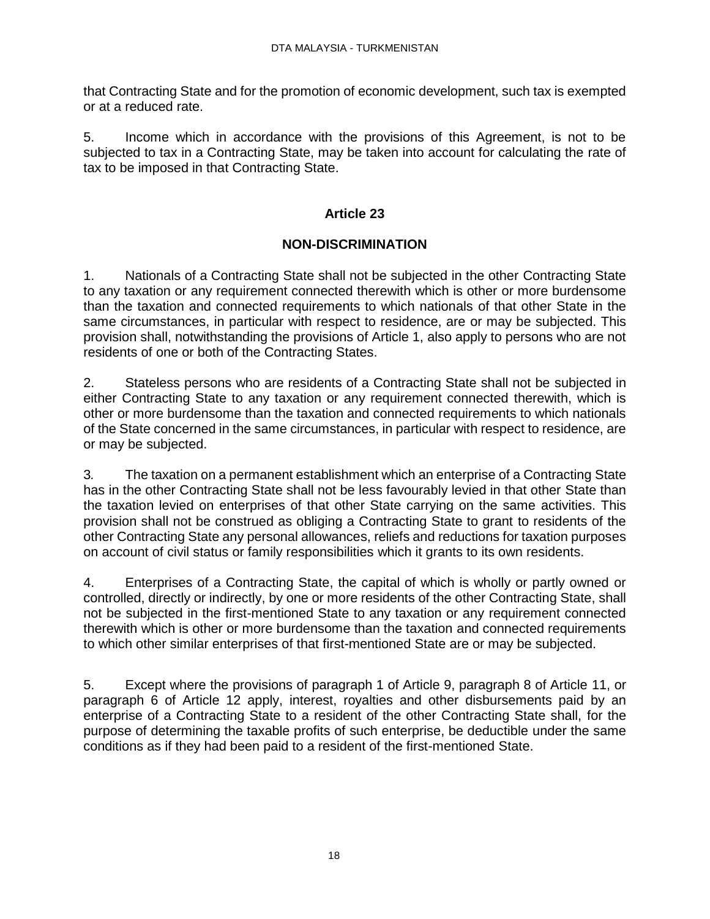that Contracting State and for the promotion of economic development, such tax is exempted or at a reduced rate.

5. Income which in accordance with the provisions of this Agreement, is not to be subjected to tax in a Contracting State, may be taken into account for calculating the rate of tax to be imposed in that Contracting State.

## **Article 23**

## **NON-DISCRIMINATION**

1. Nationals of a Contracting State shall not be subjected in the other Contracting State to any taxation or any requirement connected therewith which is other or more burdensome than the taxation and connected requirements to which nationals of that other State in the same circumstances, in particular with respect to residence, are or may be subjected. This provision shall, notwithstanding the provisions of Article 1, also apply to persons who are not residents of one or both of the Contracting States.

2. Stateless persons who are residents of a Contracting State shall not be subjected in either Contracting State to any taxation or any requirement connected therewith, which is other or more burdensome than the taxation and connected requirements to which nationals of the State concerned in the same circumstances, in particular with respect to residence, are or may be subjected.

3*.* The taxation on a permanent establishment which an enterprise of a Contracting State has in the other Contracting State shall not be less favourably levied in that other State than the taxation levied on enterprises of that other State carrying on the same activities. This provision shall not be construed as obliging a Contracting State to grant to residents of the other Contracting State any personal allowances, reliefs and reductions for taxation purposes on account of civil status or family responsibilities which it grants to its own residents.

4. Enterprises of a Contracting State, the capital of which is wholly or partly owned or controlled, directly or indirectly, by one or more residents of the other Contracting State, shall not be subjected in the first-mentioned State to any taxation or any requirement connected therewith which is other or more burdensome than the taxation and connected requirements to which other similar enterprises of that first-mentioned State are or may be subjected.

5. Except where the provisions of paragraph 1 of Article 9, paragraph 8 of Article 11, or paragraph 6 of Article 12 apply, interest, royalties and other disbursements paid by an enterprise of a Contracting State to a resident of the other Contracting State shall, for the purpose of determining the taxable profits of such enterprise, be deductible under the same conditions as if they had been paid to a resident of the first-mentioned State.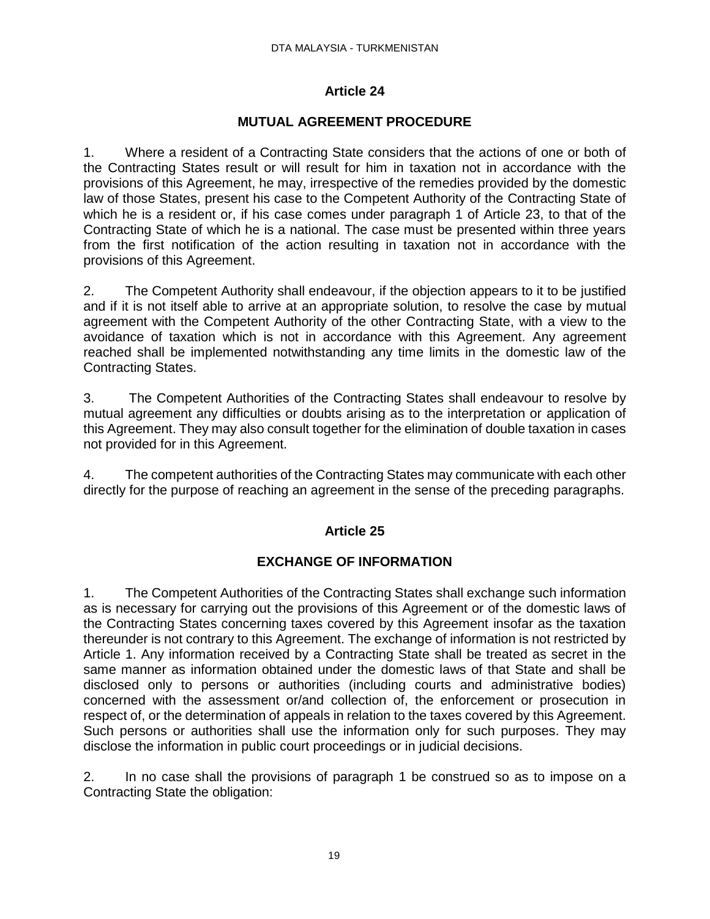## **MUTUAL AGREEMENT PROCEDURE**

1. Where a resident of a Contracting State considers that the actions of one or both of the Contracting States result or will result for him in taxation not in accordance with the provisions of this Agreement, he may, irrespective of the remedies provided by the domestic law of those States, present his case to the Competent Authority of the Contracting State of which he is a resident or, if his case comes under paragraph 1 of Article 23, to that of the Contracting State of which he is a national. The case must be presented within three years from the first notification of the action resulting in taxation not in accordance with the provisions of this Agreement.

2. The Competent Authority shall endeavour, if the objection appears to it to be justified and if it is not itself able to arrive at an appropriate solution, to resolve the case by mutual agreement with the Competent Authority of the other Contracting State, with a view to the avoidance of taxation which is not in accordance with this Agreement. Any agreement reached shall be implemented notwithstanding any time limits in the domestic law of the Contracting States.

3. The Competent Authorities of the Contracting States shall endeavour to resolve by mutual agreement any difficulties or doubts arising as to the interpretation or application of this Agreement. They may also consult together for the elimination of double taxation in cases not provided for in this Agreement.

4. The competent authorities of the Contracting States may communicate with each other directly for the purpose of reaching an agreement in the sense of the preceding paragraphs.

## **Article 25**

## **EXCHANGE OF INFORMATION**

1. The Competent Authorities of the Contracting States shall exchange such information as is necessary for carrying out the provisions of this Agreement or of the domestic laws of the Contracting States concerning taxes covered by this Agreement insofar as the taxation thereunder is not contrary to this Agreement. The exchange of information is not restricted by Article 1. Any information received by a Contracting State shall be treated as secret in the same manner as information obtained under the domestic laws of that State and shall be disclosed only to persons or authorities (including courts and administrative bodies) concerned with the assessment or/and collection of, the enforcement or prosecution in respect of, or the determination of appeals in relation to the taxes covered by this Agreement. Such persons or authorities shall use the information only for such purposes. They may disclose the information in public court proceedings or in judicial decisions.

2. In no case shall the provisions of paragraph 1 be construed so as to impose on a Contracting State the obligation: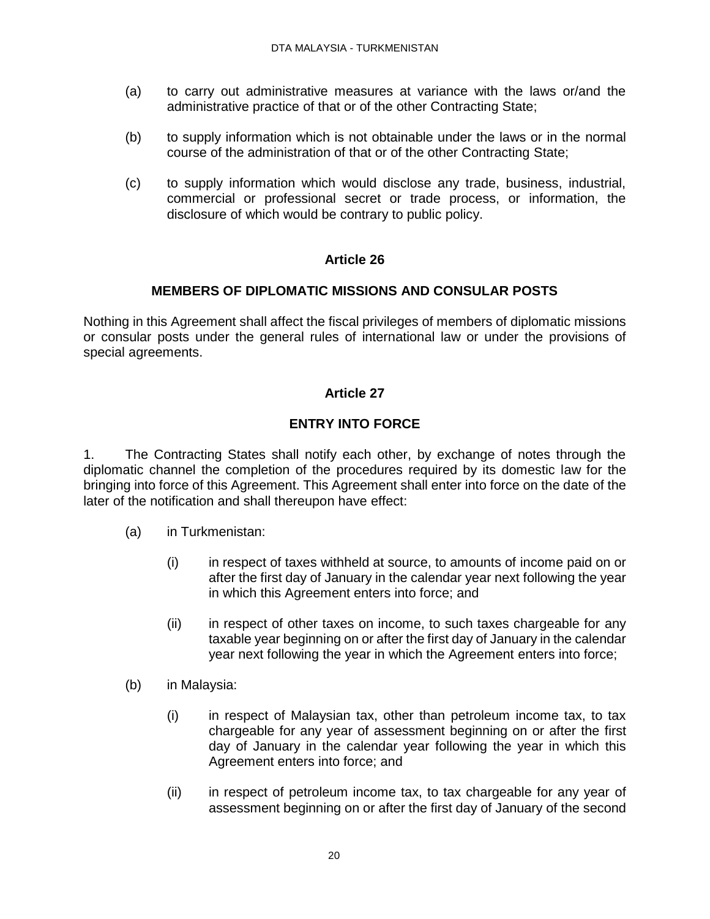- (a) to carry out administrative measures at variance with the laws or/and the administrative practice of that or of the other Contracting State;
- (b) to supply information which is not obtainable under the laws or in the normal course of the administration of that or of the other Contracting State;
- (c) to supply information which would disclose any trade, business, industrial, commercial or professional secret or trade process, or information, the disclosure of which would be contrary to public policy.

## **MEMBERS OF DIPLOMATIC MISSIONS AND CONSULAR POSTS**

Nothing in this Agreement shall affect the fiscal privileges of members of diplomatic missions or consular posts under the general rules of international law or under the provisions of special agreements.

## **Article 27**

## **ENTRY INTO FORCE**

1. The Contracting States shall notify each other, by exchange of notes through the diplomatic channel the completion of the procedures required by its domestic law for the bringing into force of this Agreement. This Agreement shall enter into force on the date of the later of the notification and shall thereupon have effect:

- (a) in Turkmenistan:
	- (i) in respect of taxes withheld at source, to amounts of income paid on or after the first day of January in the calendar year next following the year in which this Agreement enters into force; and
	- (ii) in respect of other taxes on income, to such taxes chargeable for any taxable year beginning on or after the first day of January in the calendar year next following the year in which the Agreement enters into force;
- (b) in Malaysia:
	- (i) in respect of Malaysian tax, other than petroleum income tax, to tax chargeable for any year of assessment beginning on or after the first day of January in the calendar year following the year in which this Agreement enters into force; and
	- (ii) in respect of petroleum income tax, to tax chargeable for any year of assessment beginning on or after the first day of January of the second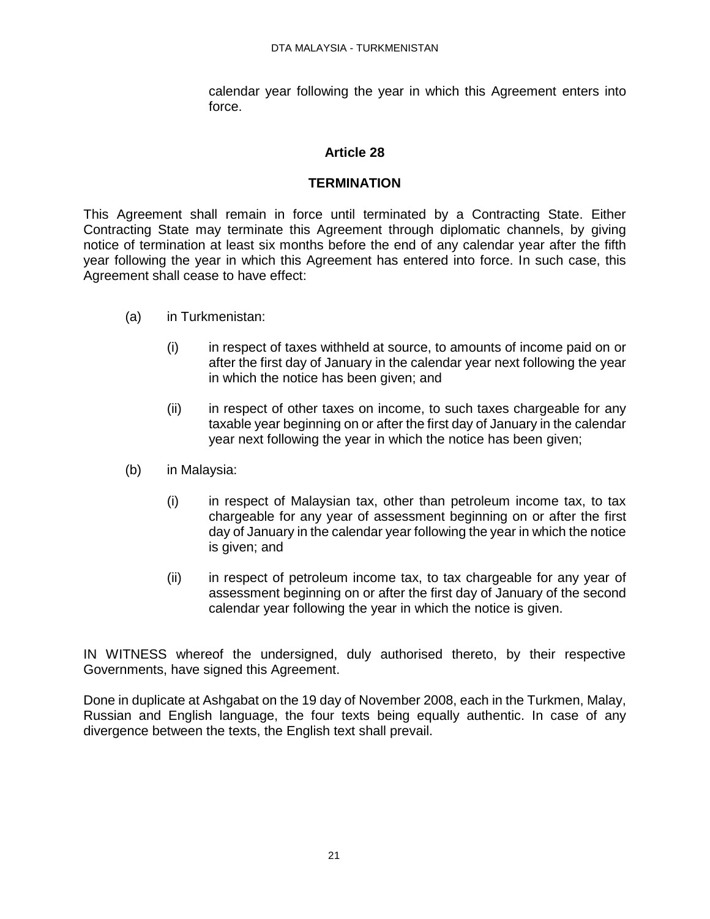calendar year following the year in which this Agreement enters into force.

## **Article 28**

#### **TERMINATION**

This Agreement shall remain in force until terminated by a Contracting State. Either Contracting State may terminate this Agreement through diplomatic channels, by giving notice of termination at least six months before the end of any calendar year after the fifth year following the year in which this Agreement has entered into force. In such case, this Agreement shall cease to have effect:

- (a) in Turkmenistan:
	- (i) in respect of taxes withheld at source, to amounts of income paid on or after the first day of January in the calendar year next following the year in which the notice has been given; and
	- (ii) in respect of other taxes on income, to such taxes chargeable for any taxable year beginning on or after the first day of January in the calendar year next following the year in which the notice has been given;
- (b) in Malaysia:
	- (i) in respect of Malaysian tax, other than petroleum income tax, to tax chargeable for any year of assessment beginning on or after the first day of January in the calendar year following the year in which the notice is given; and
	- (ii) in respect of petroleum income tax, to tax chargeable for any year of assessment beginning on or after the first day of January of the second calendar year following the year in which the notice is given.

IN WITNESS whereof the undersigned, duly authorised thereto, by their respective Governments, have signed this Agreement.

Done in duplicate at Ashgabat on the 19 day of November 2008, each in the Turkmen, Malay, Russian and English language, the four texts being equally authentic. In case of any divergence between the texts, the English text shall prevail.